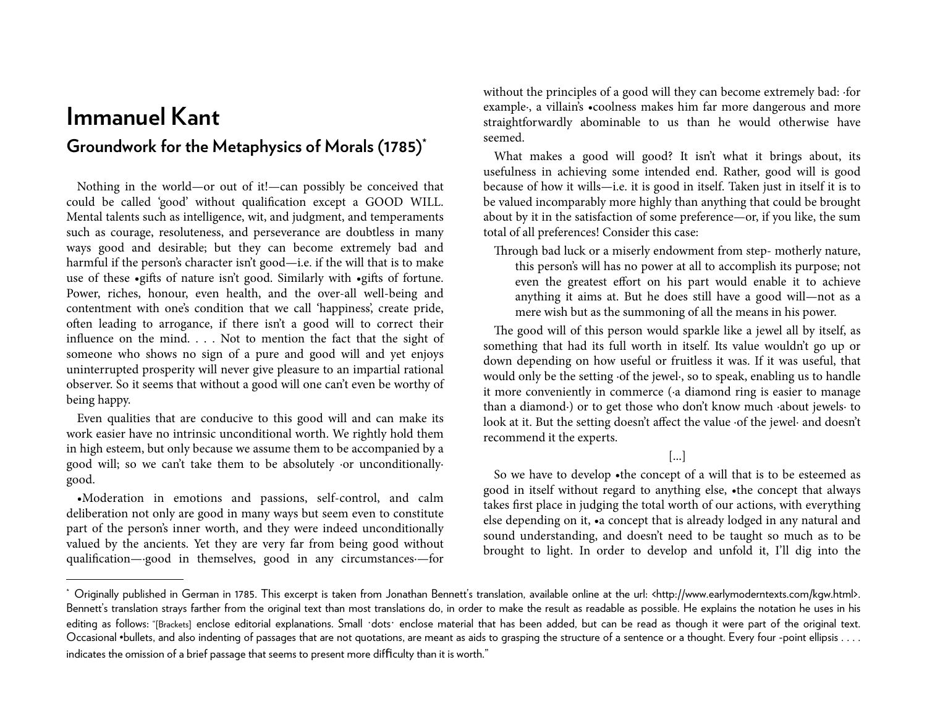## **Immanuel Kant Groundwork for the Metaphysics of Morals (1785)[\\*](#page-0-0)**

Nothing in the world—or out of it!—can possibly be conceived that could be called 'good' without qualification except a GOOD WILL. Mental talents such as intelligence, wit, and judgment, and temperaments such as courage, resoluteness, and perseverance are doubtless in many ways good and desirable; but they can become extremely bad and harmful if the person's character isn't good—i.e. if the will that is to make use of these •gifts of nature isn't good. Similarly with •gifts of fortune. Power, riches, honour, even health, and the over-all well-being and contentment with one's condition that we call 'happiness', create pride, often leading to arrogance, if there isn't a good will to correct their influence on the mind. . . . Not to mention the fact that the sight of someone who shows no sign of a pure and good will and yet enjoys uninterrupted prosperity will never give pleasure to an impartial rational observer. So it seems that without a good will one can't even be worthy of being happy.

Even qualities that are conducive to this good will and can make its work easier have no intrinsic unconditional worth. We rightly hold them in high esteem, but only because we assume them to be accompanied by a good will; so we can't take them to be absolutely ·or unconditionally· good.

•Moderation in emotions and passions, self-control, and calm deliberation not only are good in many ways but seem even to constitute part of the person's inner worth, and they were indeed unconditionally valued by the ancients. Yet they are very far from being good without qualification—·good in themselves, good in any circumstances--for without the principles of a good will they can become extremely bad: ·for example·, a villain's •coolness makes him far more dangerous and more straightforwardly abominable to us than he would otherwise have seemed.

What makes a good will good? It isn't what it brings about, its usefulness in achieving some intended end. Rather, good will is good because of how it wills—i.e. it is good in itself. Taken just in itself it is to be valued incomparably more highly than anything that could be brought about by it in the satisfaction of some preference—or, if you like, the sum total of all preferences! Consider this case:

Through bad luck or a miserly endowment from step- motherly nature, this person's will has no power at all to accomplish its purpose; not even the greatest effort on his part would enable it to achieve anything it aims at. But he does still have a good will—not as a mere wish but as the summoning of all the means in his power.

The good will of this person would sparkle like a jewel all by itself, as something that had its full worth in itself. Its value wouldn't go up or down depending on how useful or fruitless it was. If it was useful, that would only be the setting ·of the jewel·, so to speak, enabling us to handle it more conveniently in commerce (·a diamond ring is easier to manage than a diamond·) or to get those who don't know much ·about jewels· to look at it. But the setting doesn't affect the value ·of the jewel· and doesn't recommend it the experts.

## [...]

So we have to develop •the concept of a will that is to be esteemed as good in itself without regard to anything else, •the concept that always takes first place in judging the total worth of our actions, with everything else depending on it, •a concept that is already lodged in any natural and sound understanding, and doesn't need to be taught so much as to be brought to light. In order to develop and unfold it, I'll dig into the

<span id="page-0-0"></span><sup>\*</sup> Originally published in German in 1785. This excerpt is taken from Jonathan Bennett's translation, available online at the url: <http://www.earlymoderntexts.com/kgw.html>. Bennett's translation strays farther from the original text than most translations do, in order to make the result as readable as possible. He explains the notation he uses in his editing as follows: "[Brackets] enclose editorial explanations. Small ·dots· enclose material that has been added, but can be read as though it were part of the original text. Occasional •bullets, and also indenting of passages that are not quotations, are meant as aids to grasping the structure of a sentence or a thought. Every four -point ellipsis . . . . indicates the omission of a brief passage that seems to present more difficulty than it is worth."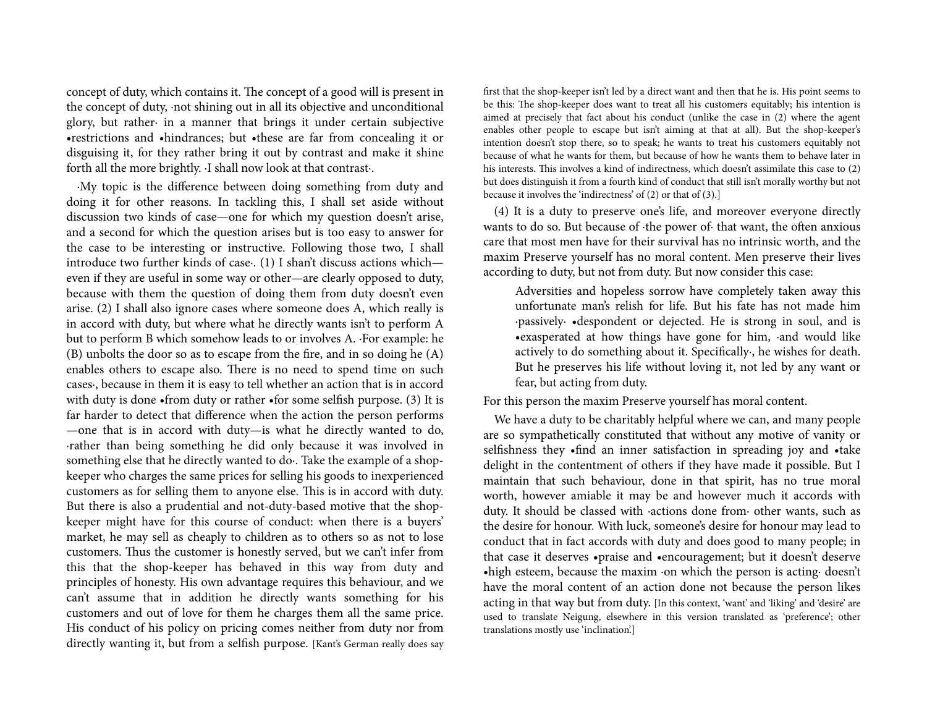concept of duty, which contains it. The concept of a good will is present in the concept of duty, ·not shining out in all its objective and unconditional glory, but rather· in a manner that brings it under certain subjective •restrictions and •hindrances; but •these are far from concealing it or disguising it, for they rather bring it out by contrast and make it shine forth all the more brightly. ·I shall now look at that contrast·.

·My topic is the difference between doing something from duty and doing it for other reasons. In tackling this, I shall set aside without discussion two kinds of case—one for which my question doesn't arise, and a second for which the question arises but is too easy to answer for the case to be interesting or instructive. Following those two, I shall introduce two further kinds of case·. (1) I shan't discuss actions which even if they are useful in some way or other—are clearly opposed to duty, because with them the question of doing them from duty doesn't even arise. (2) I shall also ignore cases where someone does A, which really is in accord with duty, but where what he directly wants isn't to perform A but to perform B which somehow leads to or involves A. ·For example: he  $(B)$  unbolts the door so as to escape from the fire, and in so doing he  $(A)$ enables others to escape also. There is no need to spend time on such cases·, because in them it is easy to tell whether an action that is in accord with duty is done •from duty or rather •for some selfish purpose. (3) It is far harder to detect that difference when the action the person performs —one that is in accord with duty—is what he directly wanted to do, ·rather than being something he did only because it was involved in something else that he directly wanted to do·. Take the example of a shopkeeper who charges the same prices for selling his goods to inexperienced customers as for selling them to anyone else. This is in accord with duty. But there is also a prudential and not-duty-based motive that the shopkeeper might have for this course of conduct: when there is a buyers' market, he may sell as cheaply to children as to others so as not to lose customers. Thus the customer is honestly served, but we can't infer from this that the shop-keeper has behaved in this way from duty and principles of honesty. His own advantage requires this behaviour, and we can't assume that in addition he directly wants something for his customers and out of love for them he charges them all the same price. His conduct of his policy on pricing comes neither from duty nor from directly wanting it, but from a selfish purpose. [Kant's German really does say

first that the shop-keeper isn't led by a direct want and then that he is. His point seems to be this: The shop-keeper does want to treat all his customers equitably; his intention is aimed at precisely that fact about his conduct (unlike the case in (2) where the agent enables other people to escape but isn't aiming at that at all). But the shop-keeper's intention doesn't stop there, so to speak; he wants to treat his customers equitably not because of what he wants for them, but because of how he wants them to behave later in his interests. This involves a kind of indirectness, which doesn't assimilate this case to (2) but does distinguish it from a fourth kind of conduct that still isn't morally worthy but not because it involves the 'indirectness' of (2) or that of (3).]

(4) It is a duty to preserve one's life, and moreover everyone directly wants to do so. But because of  $\cdot$ the power of $\cdot$  that want, the often anxious care that most men have for their survival has no intrinsic worth, and the maxim Preserve yourself has no moral content. Men preserve their lives according to duty, but not from duty. But now consider this case:

Adversities and hopeless sorrow have completely taken away this unfortunate man's relish for life. But his fate has not made him ·passively· •despondent or dejected. He is strong in soul, and is •exasperated at how things have gone for him, ·and would like actively to do something about it. Specifically-, he wishes for death. But he preserves his life without loving it, not led by any want or fear, but acting from duty.

For this person the maxim Preserve yourself has moral content.

We have a duty to be charitably helpful where we can, and many people are so sympathetically constituted that without any motive of vanity or selfishness they •find an inner satisfaction in spreading joy and •take delight in the contentment of others if they have made it possible. But I maintain that such behaviour, done in that spirit, has no true moral worth, however amiable it may be and however much it accords with duty. It should be classed with ·actions done from· other wants, such as the desire for honour. With luck, someone's desire for honour may lead to conduct that in fact accords with duty and does good to many people; in that case it deserves •praise and •encouragement; but it doesn't deserve •high esteem, because the maxim ·on which the person is acting· doesn't have the moral content of an action done not because the person likes acting in that way but from duty. [In this context, 'want' and 'liking' and 'desire' are used to translate Neigung, elsewhere in this version translated as 'preference'; other translations mostly use 'inclination'.]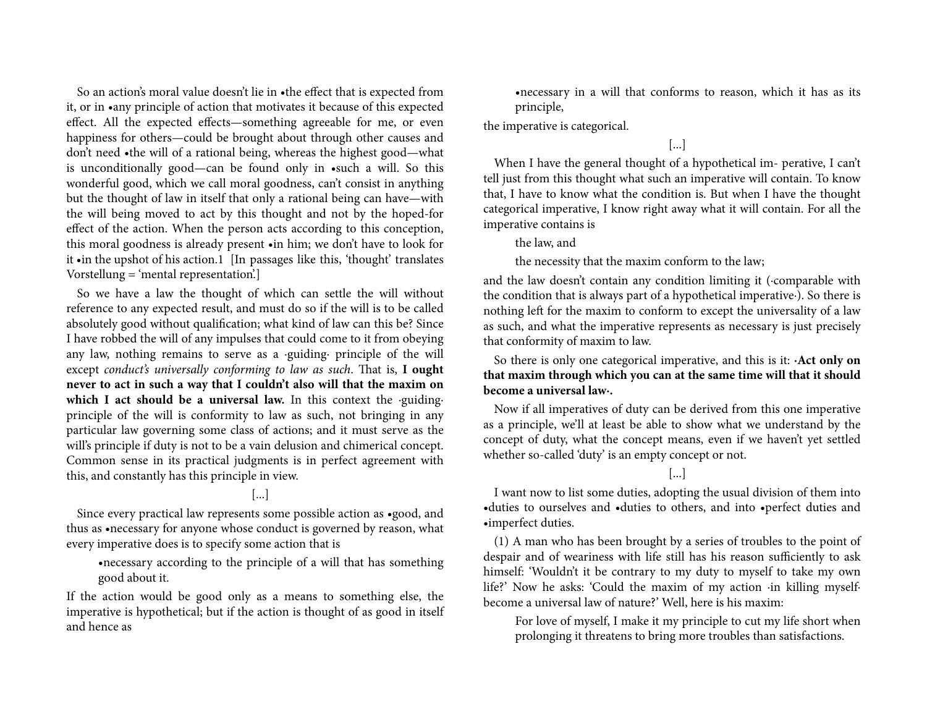So an action's moral value doesn't lie in •the effect that is expected from it, or in •any principle of action that motivates it because of this expected effect. All the expected effects—something agreeable for me, or even happiness for others—could be brought about through other causes and don't need •the will of a rational being, whereas the highest good—what is unconditionally good—can be found only in •such a will. So this wonderful good, which we call moral goodness, can't consist in anything but the thought of law in itself that only a rational being can have—with the will being moved to act by this thought and not by the hoped-for effect of the action. When the person acts according to this conception, this moral goodness is already present •in him; we don't have to look for it •in the upshot of his action.1 [In passages like this, 'thought' translates Vorstellung = 'mental representation'.]

So we have a law the thought of which can settle the will without reference to any expected result, and must do so if the will is to be called absolutely good without qualification; what kind of law can this be? Since I have robbed the will of any impulses that could come to it from obeying any law, nothing remains to serve as a ·guiding· principle of the will except *conduct's universally conforming to law as such*. That is, I ought **never to act in such a way that I couldn't also will that the maxim on**  which I act should be a universal law. In this context the *guiding* principle of the will is conformity to law as such, not bringing in any particular law governing some class of actions; and it must serve as the will's principle if duty is not to be a vain delusion and chimerical concept. Common sense in its practical judgments is in perfect agreement with this, and constantly has this principle in view.

## [...]

Since every practical law represents some possible action as •good, and thus as •necessary for anyone whose conduct is governed by reason, what every imperative does is to specify some action that is

•necessary according to the principle of a will that has something good about it.

If the action would be good only as a means to something else, the imperative is hypothetical; but if the action is thought of as good in itself and hence as

•necessary in a will that conforms to reason, which it has as its principle,

the imperative is categorical.

[...]

When I have the general thought of a hypothetical im- perative, I can't tell just from this thought what such an imperative will contain. To know that, I have to know what the condition is. But when I have the thought categorical imperative, I know right away what it will contain. For all the imperative contains is

the law, and

the necessity that the maxim conform to the law;

and the law doesn't contain any condition limiting it (·comparable with the condition that is always part of a hypothetical imperative·). So there is nothing left for the maxim to conform to except the universality of a law as such, and what the imperative represents as necessary is just precisely that conformity of maxim to law.

So there is only one categorical imperative, and this is it: **·Act only on that maxim through which you can at the same time will that it should become a universal law·.**

Now if all imperatives of duty can be derived from this one imperative as a principle, we'll at least be able to show what we understand by the concept of duty, what the concept means, even if we haven't yet settled whether so-called 'duty' is an empty concept or not.

[...]

I want now to list some duties, adopting the usual division of them into •duties to ourselves and •duties to others, and into •perfect duties and •imperfect duties.

(1) A man who has been brought by a series of troubles to the point of despair and of weariness with life still has his reason sufficiently to ask himself: 'Wouldn't it be contrary to my duty to myself to take my own life?' Now he asks: 'Could the maxim of my action ·in killing myself· become a universal law of nature?' Well, here is his maxim:

For love of myself, I make it my principle to cut my life short when prolonging it threatens to bring more troubles than satisfactions.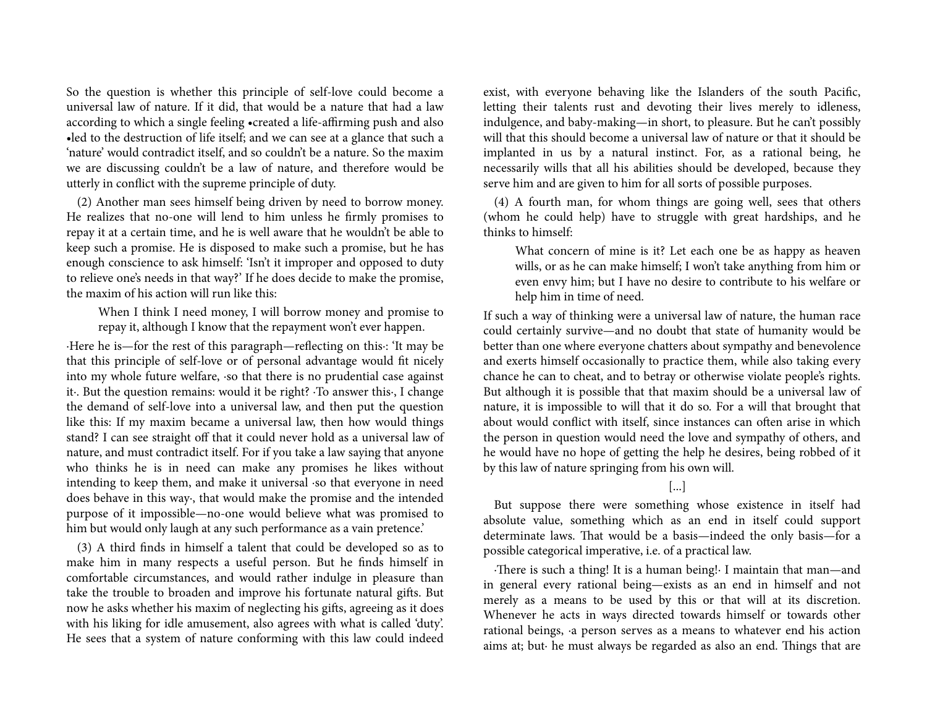So the question is whether this principle of self-love could become a universal law of nature. If it did, that would be a nature that had a law according to which a single feeling •created a life-affirming push and also •led to the destruction of life itself; and we can see at a glance that such a 'nature' would contradict itself, and so couldn't be a nature. So the maxim we are discussing couldn't be a law of nature, and therefore would be utterly in conflict with the supreme principle of duty.

(2) Another man sees himself being driven by need to borrow money. He realizes that no-one will lend to him unless he firmly promises to repay it at a certain time, and he is well aware that he wouldn't be able to keep such a promise. He is disposed to make such a promise, but he has enough conscience to ask himself: 'Isn't it improper and opposed to duty to relieve one's needs in that way?' If he does decide to make the promise, the maxim of his action will run like this:

When I think I need money, I will borrow money and promise to repay it, although I know that the repayment won't ever happen.

·Here he is—for the rest of this paragraph—reflecting on this : 'It may be that this principle of self-love or of personal advantage would fit nicely into my whole future welfare, ·so that there is no prudential case against it·. But the question remains: would it be right? ·To answer this·, I change the demand of self-love into a universal law, and then put the question like this: If my maxim became a universal law, then how would things stand? I can see straight off that it could never hold as a universal law of nature, and must contradict itself. For if you take a law saying that anyone who thinks he is in need can make any promises he likes without intending to keep them, and make it universal ·so that everyone in need does behave in this way·, that would make the promise and the intended purpose of it impossible—no-one would believe what was promised to him but would only laugh at any such performance as a vain pretence.'

(3) A third finds in himself a talent that could be developed so as to make him in many respects a useful person. But he finds himself in comfortable circumstances, and would rather indulge in pleasure than take the trouble to broaden and improve his fortunate natural gifts. But now he asks whether his maxim of neglecting his gifts, agreeing as it does with his liking for idle amusement, also agrees with what is called 'duty'. He sees that a system of nature conforming with this law could indeed exist, with everyone behaving like the Islanders of the south Pacific, letting their talents rust and devoting their lives merely to idleness, indulgence, and baby-making—in short, to pleasure. But he can't possibly will that this should become a universal law of nature or that it should be implanted in us by a natural instinct. For, as a rational being, he necessarily wills that all his abilities should be developed, because they serve him and are given to him for all sorts of possible purposes.

(4) A fourth man, for whom things are going well, sees that others (whom he could help) have to struggle with great hardships, and he thinks to himself:

What concern of mine is it? Let each one be as happy as heaven wills, or as he can make himself; I won't take anything from him or even envy him; but I have no desire to contribute to his welfare or help him in time of need.

If such a way of thinking were a universal law of nature, the human race could certainly survive—and no doubt that state of humanity would be better than one where everyone chatters about sympathy and benevolence and exerts himself occasionally to practice them, while also taking every chance he can to cheat, and to betray or otherwise violate people's rights. But although it is possible that that maxim should be a universal law of nature, it is impossible to will that it do so. For a will that brought that about would conflict with itself, since instances can often arise in which the person in question would need the love and sympathy of others, and he would have no hope of getting the help he desires, being robbed of it by this law of nature springing from his own will.

[...]

But suppose there were something whose existence in itself had absolute value, something which as an end in itself could support determinate laws. That would be a basis—indeed the only basis—for a possible categorical imperative, i.e. of a practical law.

·There is such a thing! It is a human being! I maintain that man—and in general every rational being—exists as an end in himself and not merely as a means to be used by this or that will at its discretion. Whenever he acts in ways directed towards himself or towards other rational beings, ·a person serves as a means to whatever end his action aims at; but he must always be regarded as also an end. Things that are